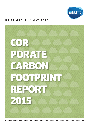

### BRITA GROUP // MAY 2016

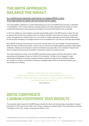# The BRITA Approach: Balance the Impact

### **As a traditional and regionally rooted family-run company BRITA is aware of its responsibility for people, the environment and the region.**

This responsibility is reflected in our self-understanding and is part of the BRITA brand promise ("Leadership in Sustainability"). Yet it is also customers, business partners and other stakeholders who expect us to take a responsible approach to natural resources and keep our environmental impact as low as possible.

In 2013 we initiated our most ambitious corporate responsibility project in the BRITA group<sup>1</sup> to date. We want to measure the harmful CO<sub>2</sub>e emissions from our business activities, reduce them by means of a systematic carbon management and "balance them out" to an extent by making meaningful environmental investments – all with the goal of keeping our ecological impact as low as possible and in line with our corporate responsibility.

We at BRITA are proud of the fact that our economic success rests on our own strength. The same approach forms the basis of "Balance the Impact", which is why we consciously decided against purchasing compensation certificates. Instead, we are looking to counter the emissions we cause with our own reduction measures and invest in projects that promote the avoidance of emissions outside our company as well.

This report presents the results of the first BRITA corporate carbon footprint and forms the basis for further approaches and strategies to lower our harmful CO<sub>2</sub>e emissions. The idea is not to engage in a rigid mathematical offsetting of emissions caused and those avoided by measures and investments. Rather, we consider it a voluntary commitment to lower our ecological impact while we continuously seek to grow and develop as a company.

### "Water is the basis of our business. From this arises our corporate responsibility to put a special emphasis on sustainability and ethical standards in our business activities."

*Markus Hankammer* 

# BRITA Corporate Carbon Footprint 2015 Results

The corporate carbon footprint of the BRITA group recorded for direct and indirect energy consumption in Scope 1 and Scope 2 in 2015 was in total 3,390 t CO<sub>2</sub>e. Scope 1 emissions constitute 2,920 t CO<sub>2</sub>e of this figure; for Scope 2 the figure is 470 t CO<sub>2</sub>e. Scope 3 emissions are 42,480 t CO<sub>2</sub>e.

<sup>1</sup>*The term BRITA group does not refer to a legal corporate entity, but is used to indicate all BRITA companies as a whole.*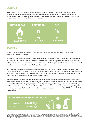## Scope 1

A key source for our Scope 1 emissions is the use of stationary energy for the heating and cooling of our production and office buildings and for our production processes. Natural gas (88 percent) and heating oil (4 percent) thus make up the majority of our Scope 1 emissions. The share of fuel used for the BRITA vehicle fleet constitutes around 8 percent of Scope 1 emissions.



## Scope 2

Scope 2 encompasses emissions from the production of electricity that we use. In 2015 BRITA used a total of 9,500 MWh of electricity.

In 2015 the production sites of BRITA GmbH in Taunusstein (Germany), BRITA AG in Neudorf (Switzerland) and BRITA Water Filter Systems Ltd. in Bicester (UK) used certified green energy. As a matter of principle, all BRITA subsidiaries are instructed to review and pursue the switch to electricity generated from renewable sources. Local conditions and availability still pose a challenge at some sites.

BRITA reports Scope 2 emissions according to the provisions of the GHG Protocol Scope 2 Guidance. For the location-based method<sup>2</sup> the respective country electricity mix as stated in publicly accessible databases was used. According to this calculation method we caused 3,740 t CO<sub>2</sub>e, 360 t by using conventional electricity, and 3,380 t when the country electricity mix is also applied to green energy.

Relevant for BRITA in terms of emissions controlling is the market-based method<sup>3</sup> for indirect emissions, where the available residual mixes of the RE-DISS Project<sup>4</sup> were applied. Where unavailable, the relevant country mixes were used as a basis.<sup>5</sup> In Scope 2, owing to the use of green energy at the energy-intensive production sites, the market-based method gives a figure of only 470 t CO<sub>2</sub>e. Emissions here are primarily caused by operating office and storage spaces at the international sites. Green energy makes up over 90 percent of BRITA's entire electricity consumption.



<sup>2</sup>*Location-based method: calculation defined by the GHG Protocol of Scope 2 emissions on the basis of average emission factors of a certain geographical region.* <sup>3</sup> Market-based method: calculation defined by the GHG Protocol of Scope 2 emissions on the basis of actual emissions from generating electricity purchased (based *on data from electricity producers or residual mixes determined).* <sup>4</sup>*RE-DISS Project: EU-financed project with the goal of informing consumers about where their*  electricity comes from in a transparent manner, incl. through the annual calculation of so-called residual mixes; http://www.reliable-disclosure.org <sup>5</sup> Applies to Australia, *Japan, Canada and the USA.*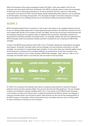Within the framework of the energy management system ISO 50001, which was certified in 2015 for the production sites Taunusstein (Germany) and Bicester (UK), BRITA continually works to reduce the consumption of fossil fuels such as natural gas and heating oil, as well as electricity. We aim to reduce our total energy consumption by 20 percent by 2020. We have already started implementing initial measures, such as switching to LED illumination and energy-saving printers. The next phase envisages construction measures to increase the energy efficiency of our buildings and the use of more efficient heating and production facilities.

## Scope 3

BRITA calculates selected Scope 3 emissions in order to get a clear picture of our ecological footprint and aims to use it to identify possible approaches to reduce greenhouse gas emissions. We determine emissions from the use of leased staff vehicles in the company car fleet, from flights, rail and hire-car journeys<sup>6</sup> during business trips and emissions arising from the upstream chains of materials used in production. Specifically, emissions are documented for purchased quantities of activated carbon, ion exchanger, plastics and other raw materials which BRITA processes further at its production facilities and which constitute the main components of BRITA filter cartridges.

In Scope 3 the BRITA group emissions total 42,480 t CO<sub>2</sub>e. Purchased materials are responsible for the largest share (approx. 90 percent). Activated carbon and ion exchanger, the most important components of our filter cartridges, are purchased in correspondingly large quantities. For this reason these two materials together cause almost 94 percent of emissions from purchased materials. An important lever for the future reduction of our corporate carbon footprint is the in-house recycling of BRITA filter cartridges. Today, well over 1,800 m<sup>3</sup> of ion exchanger and activated carbon is recovered per year and reused in this way already.



At 1,850 t CO<sub>2</sub>e, emissions from business trips make up a relatively small proportion (4 percent) of Scope 3 emissions and are primarily caused by flights. Hire cars and rail travel have little significance. The use of leased company cars translates to emissions totalling 3,000 t CO<sub>2</sub>e. In the autumn of 2015 BRITA GmbH introduced a new company car policy at its German sites. In addition to particularly fuel-efficient vehicles, the catalogue of measures promotes electric cars and plug-in hybrids. Staff members can also use the free charging stations at the BRITA campus in Taunusstein, which provide electricity from renewable resources, and in so doing render an active contribution to reducing our  $CO_2$ e emissions.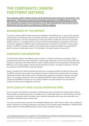# The Corporate Carbon Footprint Method

**The corporate carbon footprint shows which greenhouse gas emissions (expressed in CO2 equivalents = CO2e) were caused by the business activities of the BRITA group in 2015. The calculation is based on the provisions of the GHG (Greenhouse Gas) Protocol and is determined with the help of a professional software program.**

## Boundaries of the report

The report is limited to BRITA GmbH and selected subsidiaries of the BRITA group.7 In terms of the corporate carbon footprint, the production sites of Taunusstein (Germany), Bicester (UK) and Neudorf (Switzerland) are of special importance. The other subsidiaries are mostly sales offices or distribution sites with no production facilities of their own. The footprint does not include newly founded subsidiaries or acquisitions, which have not yet been integrated into BRITA's carbon reporting structures. We intend to include them in future reports, however. The BRITA companies included in the corporate carbon footprint calculations are responsible for about 75 percent of overall sales volume. The information in the report relates to the year 2015.

## Emissions documented

The GHG Protocol defines three different scopes into which a company's emissions are subdivided. Scope 1 encompasses emissions from direct stationary or mobile energy consumption, such as the burning of fossil fuels (heating oil, natural gas, fuel for fleet vehicles). Scope 2 contains emissions from the generation of electricity that BRITA buys from energy suppliers. We have fully documented our Scope 1 and Scope 2 emissions in line with the provisions of the GHG Protocol Corporate Standard.

Scope 3 includes further indirect emissions that arise from our business activities and along the value chain. The BRITA corporate carbon footprint encompasses in Scope 3 emissions from business trips, the company vehicle fleet of leased staff vehicles and the manufacturing of materials purchased for production (activated carbon, ion exchanger, plastics and other raw materials that BRITA directly processes). Finished product components that BRITA purchases are not currently included in the carbon footprint. We will review the inclusion of further Scope 3 categories in the future.

## Data quality and calculation factors

For the most part, data based on consumption and billing were used to calculate the corporate carbon footprint. Where specific consumption data were not available (e.g. for rented office spaces, for which electricity and water are billed at a fixed price within the ancillary costs), plausible assumptions were made and consumption was calculated or estimated using the arising costs.

The CO<sub>2</sub>e conversion factors used stem from reputable databases (incl. GHG Protocol, Defra). When establishing Scope 3 emissions for purchased materials we were able to use conversion factors established in certified product carbon footprints of individual BRITA products, which we had calculated in the past.

<sup>7</sup>*In 2015 the following companies were taken into consideration: BRITA GmbH (Germany) incl. the Netherlands site, BRITA Water Filter Systems Distributors Pty Ltd. (Australia), BRITA Water Filter Systems Ltd. (UK), BRITA S.A.R.L. (France), BRITA Italia, BRITA Japan, BRITA Polska, BRITA AG Schweiz (Switzerland), BRITA Iberia (Spain), MAVEA LLC (USA), MAVEA Canada Inc., BRITA Ionox Deutschland GmbH (Germany).*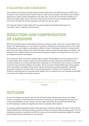### Evaluation and assurance

The evaluation and tracking of climate-harmful emissions takes place at the BRITA group level. BRITA uses the data from the Corporate Carbon Footprint Report to make its own processes more efficient and to identify approaches to improve carbon management in the value chain. We are still in the process of setting up our carbon accounting system, which is why 2015 is the first year for which we have complete data available. In the future, the report will include comparisons with data from previous vears.

The Corporate Carbon Footprint Report 2015 has been audited by PricewaterhouseCoopers AG. The auditor's report is attached to this document.

# Reduction and Compensation of Emissions

BRITA has set itself the goal of systematically reducing its emissions levels, which have a harmful effect on the climate, and "balancing them out" to an extent by investing in meaningful environmental projects. In the context of this approach we are initially concentrating our efforts on Scope 1 and Scope 2 emissions, as these are the ones we are best able to influence and control. We seek to reduce emissions through projects we identify in the framework of our certified energy and environmental management systems and through which we can lower our energy and resource consumption.

At the same time, we aim to invest in selected external projects whose objective is to avoid emissions and in so doing partially offset, at least on paper, the actual emissions we cause. Among the investments we are currently pursuing is an in-house photovoltaic plant to generate our own electricity, which would be constructed on the roof of our production building in Taunusstein. We are currently reviewing further green energy projects, which must satisfy our ecological and economic criteria and should also promote sustainable, responsible development outside our company. With our two-pronged approach of reduction and investments, we are working to continually lower our corporate carbon footprint and in so doing live up to our corporate responsibility in the sense of the "Balance the Impact" approach.

### "Man cannot discover new oceans unless he has the courage to lose sight of the shore."

*André Gide*

# **OUTLOOK**

As part of the "Balance the Impact" approach we will identify further internal projects that we can initiate to lower our emissions. At the same time we will work on improving our carbon management by means of a continual standardization of data collection and even higher data quality. By including further BRITA sites, we will increasingly complete and regularly document our corporate carbon footprint.

As a growing, globally expanding company these goals pose a particular challenge. We seek to achieve all this while simultaneously increasing production and sales activities and pursuing ambitious strategy goals. Yet in this challenge we perceive an opportunity for BRITA to make our lived corporate responsibility tangible for outsiders and to increase what we know about our own activities.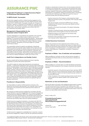# Assurance PWC

### **Independent Practitioner's Limited Assurance Report on Greenhouse Gas Emission Data**

### **To BRITA GmbH, Taunusstein**

*We have been engaged to perform a limited assurance engagement of the accompanying information presented in the report "BRITA Corporate Carbon Footprint 2015" of BRITA GmbH, Taunusstein, (hereafter the "Company") for the period 1 January to 31 December 2015 (hereafter the "Corporate Carbon Footprint 2015"). The information are Scope 1 and Scope 2 greenhouse gas emission data as well as Scope 3 greenhouse gas emission data 2015 (the "Greenhouse Gas Emission Data")\*.* 

### **Management's Responsibility for the Corporate Carbon Footprint 2015**

*Company's Management is responsible for the preparation of the Corporate Carbon Footprint 2015 in accordance with the criteria as set out in the publication "A Corporate Accounting and Reporting Standard – Revised Edition 2004" of the Greenhouse Gas Protocol Initiative (World Business Council for Sustainable Development / World Resources Institute): Relevance, Completeness, Consistency, Transparency and Accuracy (pages 8-9, hereafter "GHG Protocol Criteria").*

*This responsibility includes the selection and application of appropriate methods to prepare the Corporate Carbon Footprint 2015 as well as the use of assumptions and estimates for individual Greenhouse Gas Emission Data disclosures, which are reasonable in the circumstances. Furthermore, this responsibility includes the design, implementation and maintenance of internal control relevant to the preparation of the Corporate Carbon Footprint 2015 that is free from material misstatement, whether due to fraud or error.*

### **Audit Firm's Independence and Quality Control**

*We have complied with the German professional provisions regarding independence as well as other ethical requirements.*

*The audit firm applies the national legal requirements and professional standards – in particular the Professional Code for German Public Auditors and German Chartered Auditors ("Berufssatzung für Wirtschaftsprüfer und vereidigte Buchprüfer": "BS WP/vBP") as well as the joint opinion of the Wirtschaftsprüferkammer (Chamber of German Public Auditors; WPK) and the Institut der Wirtschaftsprüfer (Institute of Public Auditors in Germany; IDW): Requirements to quality control for audit firms ("Gemeinsamen Stellungnahme der WPK und des IDW: Anforderungen an die Qualitätssicherung in der Wirtschaftsprüferpraxis": "VO 1/2006") – and accordingly maintains a comprehensive system of quality control including documented policies and procedures regarding compliance with ethical requirements, professional standards and applicable legal and regulatory requirements.*

### **Practitioner's Responsibility**

*Our responsibility is to express a limited assurance conclusion on the Greenhouse Gas Emission Data presented in the Corporate Carbon Footprint 2015 based on the procedures we have performed and the evidence we have obtained.* 

*We conducted our limited assurance engagement in accordance with International Standard on Assurance Engagements 3410, Assurance Engagements on Greenhouse Gas Statements ("ISAE 3410"), issued by the International Auditing and Assurance Standards Board. That standard requires that we plan and perform this engagement to obtain limited assurance about whether the Greenhouse Gas Emission Data is free from material misstatement.*

*A limited assurance engagement undertaken in accordance with ISAE 3410 involves assessing the suitability in the circumstances of the Company's use of the GHG Protocol criteria as the basis for the preparation of the Greenhouse Gas Emission Data, assessing the risks of material misstatement of the Greenhouse Gas Emission Data whether due to fraud or error, responding to the assessed risks as necessary in the circumstances, and evaluating the overall presentation of the Greenhouse Gas Emission Data.* 

*A limited assurance engagement is substantially less in scope than a reasonable assurance engagement in relation to both the risk assessment procedures,* 

*including an understanding of internal control, and the procedures performed in response to the assessed risks. The procedures we performed were based on our professional judgment and included inquiries, observation of processes performed, inspection of documents, analytical procedures, evaluating the appropriateness of quantification methods and reporting policies, and agreeing or reconciling with underlying records. Within the scope of our work we performed amongst others the following procedures:*

- *Inquiries of personnel of the Company's central department Health, Safety & Environment involved in the preparation of the Corporate Carbon Footprint 2015.*
- *Site visits and inquiries of personnel of BRITA Group in Germany, Switzerland and UK involved in the primary data collection and local control procedures.*
- *Inspection of the internal documentation of the applied methodology and processes.*
- *Inspection of working documents, internal documentation (especially regarding internal controls applied at central and national level).*
- *Analytical procedures on the Greenhouse Gas Emission Data at site level and BRITA Group level.*
- *Assessment of the presentation of Greenhouse Gas Emission Data in the Corporate Carbon Footprint 2015. .*

### **Limited Assurance Conclusion**

*Based on the procedures we have performed and the evidence we have obtained, nothing has come to our attention that causes us to believe that the Greenhouse Gas Emission Data presented in the Corporate Carbon Footprint 2015 is not prepared, in all material respects, in accordance with the GHG Protocol criteria (Relevance, Completeness, Consistency, Transparency and Accuracy).*

### **Emphasis of Matter - Use of estimates and assumptions**

*Without qualifying our conclusion we refer to the fact that the calculation of Greenhouse Gas Emission Data is by nature partly based on estimates and assumptions.*

#### **Emphasis of Matter – Recommendations**

*Without qualifying our conclusion above, we make the following recommendations for the further development of the Company's Greenhouse Gas Emission reporting:*

- *Systematic expansion of the greenhouse gas emission reporting to BRITA entities, which are not yet covered by the Corporate Carbon Footprint and with the objective to capture and report the greenhouse gas emissions of the entire BRITA Group.*
- *Further formalization of the existing reporting processes and the internal control system for the material variables of the Corporate Carbon Footprint.*

### **Restriction on Use and Distribution**

*We issue this report on the basis of the engagement agreed with the Company. The audit has been performed for purposes of the Company and is solely intended to inform the Company about the results of the audit. The report is not intended for any third parties to base any (financial) decision thereon. We do not assume any responsibility towards third parties.* 

*Munich, 24 May, 2016*

#### **PricewaterhouseCoopers Aktiengesellschaft Wirtschaftsprüfungsgesellschaft**

*Hendrik Fink ppa. Axel Faupel German Public Auditor*

\* *Our engagement applied to the German version of the Corporate Carbon Footprint 2015. This text is a translation of the Independent Practitioner's Limited Assurance Report issued in German - the German text is authoritative.*